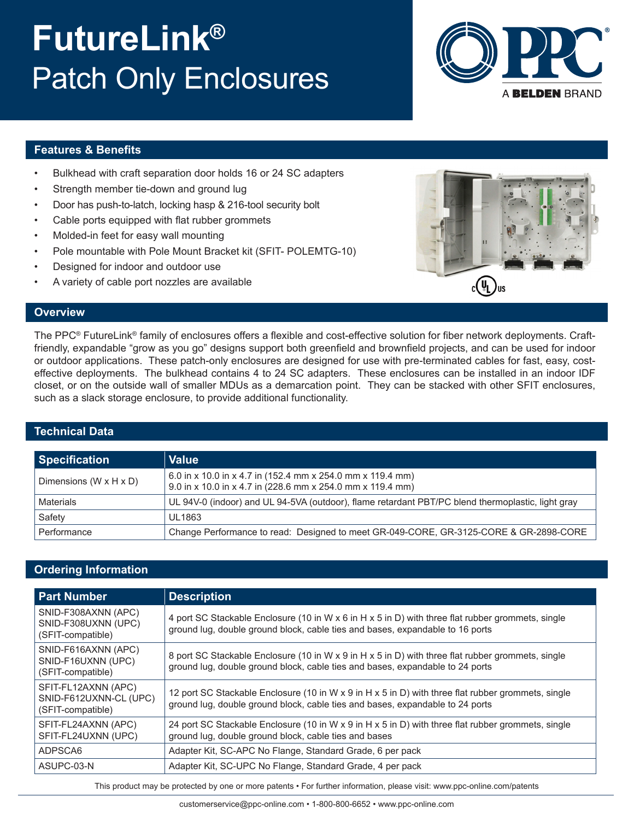# **FutureLink®** Patch Only Enclosures



### **Features & Benefits**

- Bulkhead with craft separation door holds 16 or 24 SC adapters
- Strength member tie-down and ground lug
- Door has push-to-latch, locking hasp & 216-tool security bolt
- Cable ports equipped with flat rubber grommets
- Molded-in feet for easy wall mounting
- Pole mountable with Pole Mount Bracket kit (SFIT- POLEMTG-10)
- Designed for indoor and outdoor use
- A variety of cable port nozzles are available



### **Overview**

The PPC® FutureLink® family of enclosures offers a flexible and cost-effective solution for fiber network deployments. Craftfriendly, expandable "grow as you go" designs support both greenfield and brownfield projects, and can be used for indoor or outdoor applications. These patch-only enclosures are designed for use with pre-terminated cables for fast, easy, costeffective deployments. The bulkhead contains 4 to 24 SC adapters. These enclosures can be installed in an indoor IDF closet, or on the outside wall of smaller MDUs as a demarcation point. They can be stacked with other SFIT enclosures, such as a slack storage enclosure, to provide additional functionality.

#### **Technical Data**

| <b>Specification</b>               | <b>Value</b>                                                                                                             |
|------------------------------------|--------------------------------------------------------------------------------------------------------------------------|
| Dimensions $(W \times H \times D)$ | 6.0 in x 10.0 in x 4.7 in (152.4 mm x 254.0 mm x 119.4 mm)<br>9.0 in x 10.0 in x 4.7 in (228.6 mm x 254.0 mm x 119.4 mm) |
| Materials                          | UL 94V-0 (indoor) and UL 94-5VA (outdoor), flame retardant PBT/PC blend thermoplastic, light gray                        |
| Safety                             | <b>UL1863</b>                                                                                                            |
| Performance                        | Change Performance to read: Designed to meet GR-049-CORE, GR-3125-CORE & GR-2898-CORE                                    |

# **Ordering Information**

| <b>Part Number</b>                                                 | <b>Description</b>                                                                                                                                                                  |
|--------------------------------------------------------------------|-------------------------------------------------------------------------------------------------------------------------------------------------------------------------------------|
| SNID-F308AXNN (APC)<br>SNID-F308UXNN (UPC)<br>(SFIT-compatible)    | 4 port SC Stackable Enclosure (10 in W x 6 in H x 5 in D) with three flat rubber grommets, single<br>ground lug, double ground block, cable ties and bases, expandable to 16 ports  |
| SNID-F616AXNN (APC)<br>SNID-F16UXNN (UPC)<br>(SFIT-compatible)     | 8 port SC Stackable Enclosure (10 in W x 9 in H x 5 in D) with three flat rubber grommets, single<br>ground lug, double ground block, cable ties and bases, expandable to 24 ports  |
| SFIT-FL12AXNN (APC)<br>SNID-F612UXNN-CL (UPC)<br>(SFIT-compatible) | 12 port SC Stackable Enclosure (10 in W x 9 in H x 5 in D) with three flat rubber grommets, single<br>ground lug, double ground block, cable ties and bases, expandable to 24 ports |
| SFIT-FL24AXNN (APC)<br>SFIT-FL24UXNN (UPC)                         | 24 port SC Stackable Enclosure (10 in W x 9 in H x 5 in D) with three flat rubber grommets, single<br>ground lug, double ground block, cable ties and bases                         |
| ADPSCA6                                                            | Adapter Kit, SC-APC No Flange, Standard Grade, 6 per pack                                                                                                                           |
| ASUPC-03-N                                                         | Adapter Kit, SC-UPC No Flange, Standard Grade, 4 per pack                                                                                                                           |

This product may be protected by one or more patents • For further information, please visit: www.ppc-online.com/patents